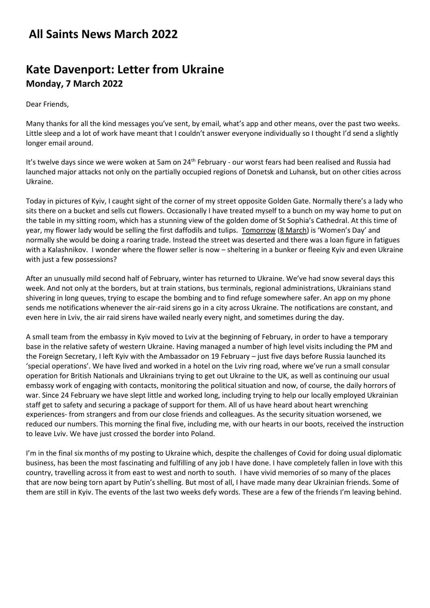## **All Saints News March 2022**

## **Kate Davenport: Letter from Ukraine Monday, 7 March 2022**

Dear Friends,

Many thanks for all the kind messages you've sent, by email, what's app and other means, over the past two weeks. Little sleep and a lot of work have meant that I couldn't answer everyone individually so I thought I'd send a slightly longer email around.

It's twelve days since we were woken at 5am on 24<sup>th</sup> February - our worst fears had been realised and Russia had launched major attacks not only on the partially occupied regions of Donetsk and Luhansk, but on other cities across Ukraine.

Today in pictures of Kyiv, I caught sight of the corner of my street opposite Golden Gate. Normally there's a lady who sits there on a bucket and sells cut flowers. Occasionally I have treated myself to a bunch on my way home to put on the table in my sitting room, which has a stunning view of the golden dome of St Sophia's Cathedral. At this time of year, my flower lady would be selling the first daffodils and tulips. Tomorrow (8 March) is 'Women's Day' and normally she would be doing a roaring trade. Instead the street was deserted and there was a loan figure in fatigues with a Kalashnikov. I wonder where the flower seller is now – sheltering in a bunker or fleeing Kyiv and even Ukraine with just a few possessions?

After an unusually mild second half of February, winter has returned to Ukraine. We've had snow several days this week. And not only at the borders, but at train stations, bus terminals, regional administrations, Ukrainians stand shivering in long queues, trying to escape the bombing and to find refuge somewhere safer. An app on my phone sends me notifications whenever the air-raid sirens go in a city across Ukraine. The notifications are constant, and even here in Lviv, the air raid sirens have wailed nearly every night, and sometimes during the day.

A small team from the embassy in Kyiv moved to Lviv at the beginning of February, in order to have a temporary base in the relative safety of western Ukraine. Having managed a number of high level visits including the PM and the Foreign Secretary, I left Kyiv with the Ambassador on 19 February – just five days before Russia launched its 'special operations'. We have lived and worked in a hotel on the Lviv ring road, where we've run a small consular operation for British Nationals and Ukrainians trying to get out Ukraine to the UK, as well as continuing our usual embassy work of engaging with contacts, monitoring the political situation and now, of course, the daily horrors of war. Since 24 February we have slept little and worked long, including trying to help our locally employed Ukrainian staff get to safety and securing a package of support for them. All of us have heard about heart wrenching experiences- from strangers and from our close friends and colleagues. As the security situation worsened, we reduced our numbers. This morning the final five, including me, with our hearts in our boots, received the instruction to leave Lviv. We have just crossed the border into Poland.

I'm in the final six months of my posting to Ukraine which, despite the challenges of Covid for doing usual diplomatic business, has been the most fascinating and fulfilling of any job I have done. I have completely fallen in love with this country, travelling across it from east to west and north to south. I have vivid memories of so many of the places that are now being torn apart by Putin's shelling. But most of all, I have made many dear Ukrainian friends. Some of them are still in Kyiv. The events of the last two weeks defy words. These are a few of the friends I'm leaving behind.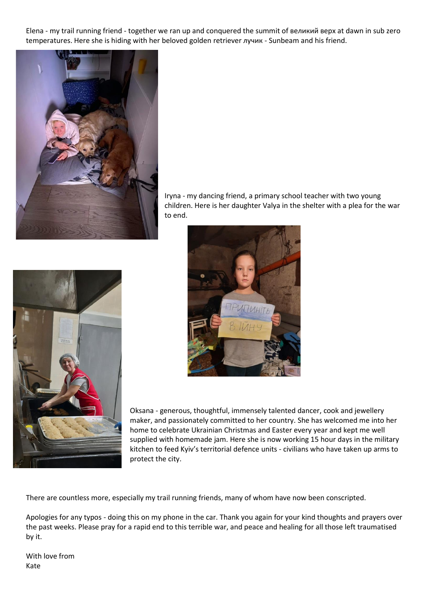Elena - my trail running friend - together we ran up and conquered the summit of великий верх at dawn in sub zero temperatures. Here she is hiding with her beloved golden retriever лучик - Sunbeam and his friend.



Iryna - my dancing friend, a primary school teacher with two young children. Here is her daughter Valya in the shelter with a plea for the war to end.





Oksana - generous, thoughtful, immensely talented dancer, cook and jewellery maker, and passionately committed to her country. She has welcomed me into her home to celebrate Ukrainian Christmas and Easter every year and kept me well supplied with homemade jam. Here she is now working 15 hour days in the military kitchen to feed Kyiv's territorial defence units - civilians who have taken up arms to protect the city.

There are countless more, especially my trail running friends, many of whom have now been conscripted.

Apologies for any typos - doing this on my phone in the car. Thank you again for your kind thoughts and prayers over the past weeks. Please pray for a rapid end to this terrible war, and peace and healing for all those left traumatised by it.

With love from Kate